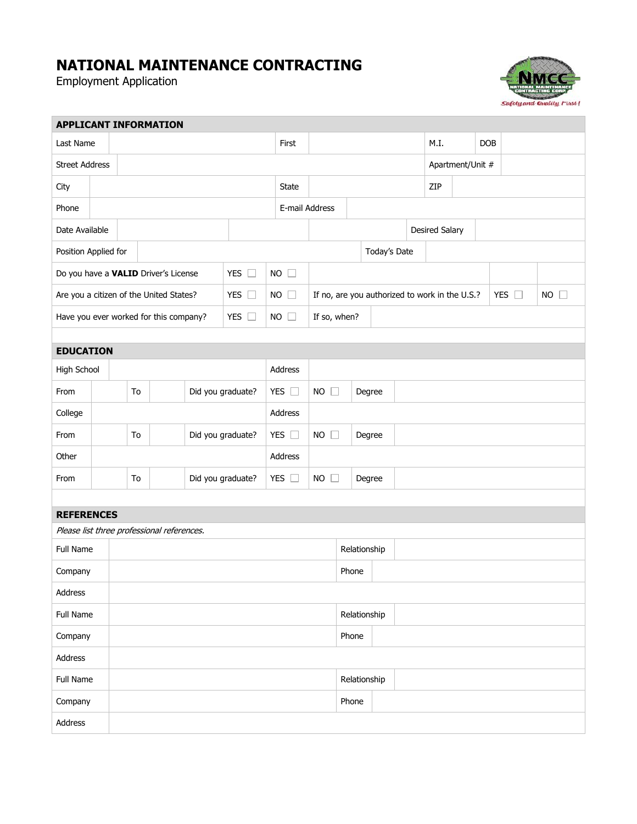## **NATIONAL MAINTENANCE CONTRACTING**

Employment Application

г



٦

| <b>APPLICANT INFORMATION</b>                             |                         |                         |                         |  |               |                              |                        |                                                |                        |                |            |  |                  |  |               |  |                |  |  |  |
|----------------------------------------------------------|-------------------------|-------------------------|-------------------------|--|---------------|------------------------------|------------------------|------------------------------------------------|------------------------|----------------|------------|--|------------------|--|---------------|--|----------------|--|--|--|
| Last Name                                                |                         |                         |                         |  | First         |                              |                        |                                                | M.I.                   |                | <b>DOB</b> |  |                  |  |               |  |                |  |  |  |
| <b>Street Address</b>                                    |                         |                         |                         |  |               |                              |                        |                                                |                        |                |            |  | Apartment/Unit # |  |               |  |                |  |  |  |
| City                                                     |                         |                         |                         |  |               | <b>State</b>                 |                        |                                                |                        |                | ZIP        |  |                  |  |               |  |                |  |  |  |
| Phone                                                    |                         |                         |                         |  |               |                              | E-mail Address         |                                                |                        |                |            |  |                  |  |               |  |                |  |  |  |
| Date Available                                           |                         |                         |                         |  |               |                              |                        |                                                |                        | Desired Salary |            |  |                  |  |               |  |                |  |  |  |
| Position Applied for                                     |                         |                         |                         |  |               |                              |                        |                                                | Today's Date           |                |            |  |                  |  |               |  |                |  |  |  |
| Do you have a VALID Driver's License<br>YES $\square$    |                         |                         |                         |  | <b>NO</b>     | $\Box$                       |                        |                                                |                        |                |            |  |                  |  |               |  |                |  |  |  |
| Are you a citizen of the United States?<br>YES $\square$ |                         |                         |                         |  |               | <b>NO</b>                    | П                      | If no, are you authorized to work in the U.S.? |                        |                |            |  |                  |  | YES $\square$ |  | $NO$ $\square$ |  |  |  |
| YES $\square$<br>Have you ever worked for this company?  |                         |                         |                         |  |               |                              | $NO$ $\Box$            | If so, when?                                   |                        |                |            |  |                  |  |               |  |                |  |  |  |
|                                                          |                         |                         |                         |  |               |                              |                        |                                                |                        |                |            |  |                  |  |               |  |                |  |  |  |
| <b>EDUCATION</b>                                         |                         |                         |                         |  |               |                              |                        |                                                |                        |                |            |  |                  |  |               |  |                |  |  |  |
| High School                                              |                         |                         |                         |  |               |                              |                        | Address                                        |                        |                |            |  |                  |  |               |  |                |  |  |  |
| From                                                     | Did you graduate?<br>To |                         |                         |  | YES $\square$ | NO<br>Degree<br>$\mathbb{R}$ |                        |                                                |                        |                |            |  |                  |  |               |  |                |  |  |  |
| College                                                  |                         |                         |                         |  |               |                              |                        | Address                                        |                        |                |            |  |                  |  |               |  |                |  |  |  |
| From                                                     |                         |                         | To<br>Did you graduate? |  |               |                              | YES $\square$          | <b>NO</b>                                      | Degree<br>$\mathbf{L}$ |                |            |  |                  |  |               |  |                |  |  |  |
| Other                                                    |                         |                         |                         |  |               |                              |                        | Address                                        |                        |                |            |  |                  |  |               |  |                |  |  |  |
| From                                                     |                         | Did you graduate?<br>To |                         |  |               | YES $\Box$                   | NO<br>Degree<br>$\Box$ |                                                |                        |                |            |  |                  |  |               |  |                |  |  |  |
|                                                          |                         |                         |                         |  |               |                              |                        |                                                |                        |                |            |  |                  |  |               |  |                |  |  |  |
| <b>REFERENCES</b>                                        |                         |                         |                         |  |               |                              |                        |                                                |                        |                |            |  |                  |  |               |  |                |  |  |  |
| Please list three professional references.               |                         |                         |                         |  |               |                              |                        |                                                |                        |                |            |  |                  |  |               |  |                |  |  |  |
| Full Name                                                |                         |                         |                         |  |               |                              |                        |                                                | Relationship           |                |            |  |                  |  |               |  |                |  |  |  |
| Company                                                  |                         |                         |                         |  |               |                              |                        |                                                |                        | Phone          |            |  |                  |  |               |  |                |  |  |  |
| Address                                                  |                         |                         |                         |  |               |                              |                        |                                                |                        |                |            |  |                  |  |               |  |                |  |  |  |
| Full Name                                                |                         |                         |                         |  |               |                              |                        | Relationship                                   |                        |                |            |  |                  |  |               |  |                |  |  |  |
| Company                                                  |                         |                         |                         |  |               |                              |                        | Phone                                          |                        |                |            |  |                  |  |               |  |                |  |  |  |
| Address                                                  |                         |                         |                         |  |               |                              |                        |                                                |                        |                |            |  |                  |  |               |  |                |  |  |  |
| Full Name                                                |                         |                         |                         |  |               |                              |                        | Relationship                                   |                        |                |            |  |                  |  |               |  |                |  |  |  |
| Company                                                  |                         |                         |                         |  |               |                              | Phone                  |                                                |                        |                |            |  |                  |  |               |  |                |  |  |  |
| Address                                                  |                         |                         |                         |  |               |                              |                        |                                                |                        |                |            |  |                  |  |               |  |                |  |  |  |